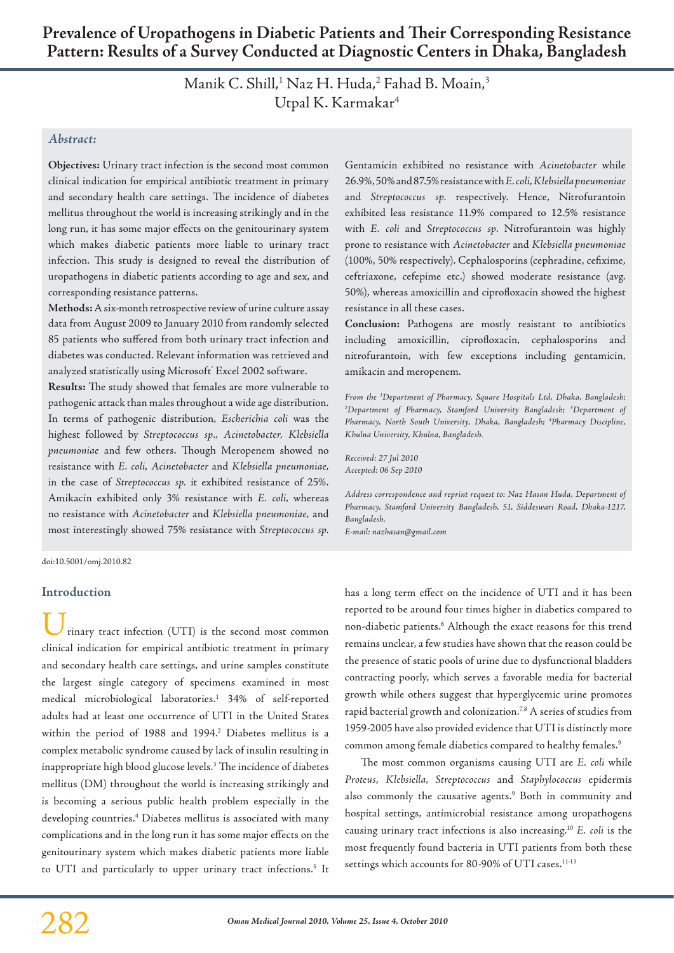Manik C. Shill,<sup>1</sup> Naz H. Huda,<sup>2</sup> Fahad B. Moain,<sup>3</sup> Utpal K. Karmakar<sup>4</sup>

## *Abstract:*

**Objectives:** Urinary tract infection is the second most common clinical indication for empirical antibiotic treatment in primary and secondary health care settings. The incidence of diabetes mellitus throughout the world is increasing strikingly and in the long run, it has some major effects on the genitourinary system which makes diabetic patients more liable to urinary tract infection. This study is designed to reveal the distribution of uropathogens in diabetic patients according to age and sex, and corresponding resistance patterns.

**Methods:** A six-month retrospective review of urine culture assay data from August 2009 to January 2010 from randomly selected 85 patients who suffered from both urinary tract infection and diabetes was conducted. Relevant information was retrieved and analyzed statistically using Microsoft ̊Excel 2002 software.

**Results:** The study showed that females are more vulnerable to pathogenic attack than males throughout a wide age distribution. In terms of pathogenic distribution, *Escherichia coli* was the highest followed by *Streptococcus sp*.*, Acinetobacter, Klebsiella pneumoniae* and few others. Though Meropenem showed no resistance with *E. coli*, *Acinetobacter* and *Klebsiella pneumoniae,*  in the case of *Streptococcus sp.* it exhibited resistance of 25%. Amikacin exhibited only 3% resistance with *E. coli,* whereas no resistance with *Acinetobacter* and *Klebsiella pneumoniae,* and most interestingly showed 75% resistance with *Streptococcus sp.*

Gentamicin exhibited no resistance with *Acinetobacter* while 26.9%, 50% and 87.5% resistance with *E. coli*, *Klebsiellapneumoniae*  and *Streptococcus sp.* respectively. Hence, Nitrofurantoin exhibited less resistance 11.9% compared to 12.5% resistance with *E. coli* and *Streptococcus sp*. Nitrofurantoin was highly prone to resistance with *Acinetobacter* and *Klebsiella pneumoniae*  (100%, 50% respectively). Cephalosporins (cephradine, cefixime, ceftriaxone, cefepime etc.) showed moderate resistance (avg. 50%), whereas amoxicillin and ciprofloxacin showed the highest resistance in all these cases.

**Conclusion:** Pathogens are mostly resistant to antibiotics including amoxicillin, ciprofloxacin, cephalosporins and nitrofurantoin, with few exceptions including gentamicin, amikacin and meropenem.

*From the 1 Department of Pharmacy, Square Hospitals Ltd, Dhaka, Bangladesh;*  <sup>2</sup>Department of Pharmacy, Stamford University Bangladesh; <sup>3</sup>Department of *Pharmacy, North South University, Dhaka, Bangladesh; 4 Pharmacy Discipline, Khulna University, Khulna, Bangladesh.*

*Received: 27 Jul 2010 Accepted: 06 Sep 2010*

*Address correspondence and reprint request to: Naz Hasan Huda, Department of Pharmacy, Stamford University Bangladesh, 51, Siddeswari Road, Dhaka-1217, Bangladesh.*

*E-mail: nazhasan@gmail.com*

doi:10.5001/omj.2010.82

### **Introduction**

rinary tract infection (UTI) is the second most common clinical indication for empirical antibiotic treatment in primary and secondary health care settings, and urine samples constitute the largest single category of specimens examined in most medical microbiological laboratories.1 34% of self-reported adults had at least one occurrence of UTI in the United States within the period of 1988 and 1994.<sup>2</sup> Diabetes mellitus is a complex metabolic syndrome caused by lack of insulin resulting in inappropriate high blood glucose levels.3 The incidence of diabetes mellitus (DM) throughout the world is increasing strikingly and is becoming a serious public health problem especially in the developing countries.4 Diabetes mellitus is associated with many complications and in the long run it has some major effects on the genitourinary system which makes diabetic patients more liable to UTI and particularly to upper urinary tract infections.<sup>5</sup> It has a long term effect on the incidence of UTI and it has been reported to be around four times higher in diabetics compared to non-diabetic patients.<sup>6</sup> Although the exact reasons for this trend remains unclear, a few studies have shown that the reason could be the presence of static pools of urine due to dysfunctional bladders contracting poorly, which serves a favorable media for bacterial growth while others suggest that hyperglycemic urine promotes rapid bacterial growth and colonization.<sup>7,8</sup> A series of studies from 1959-2005 have also provided evidence that UTI is distinctly more common among female diabetics compared to healthy females.9

The most common organisms causing UTI are *E. coli* while *Proteus*, *Klebsiella*, *Streptococcus* and *Staphylococcus* epidermis also commonly the causative agents.<sup>9</sup> Both in community and hospital settings, antimicrobial resistance among uropathogens causing urinary tract infections is also increasing.10 *E. coli* is the most frequently found bacteria in UTI patients from both these settings which accounts for 80-90% of UTI cases.<sup>11-13</sup>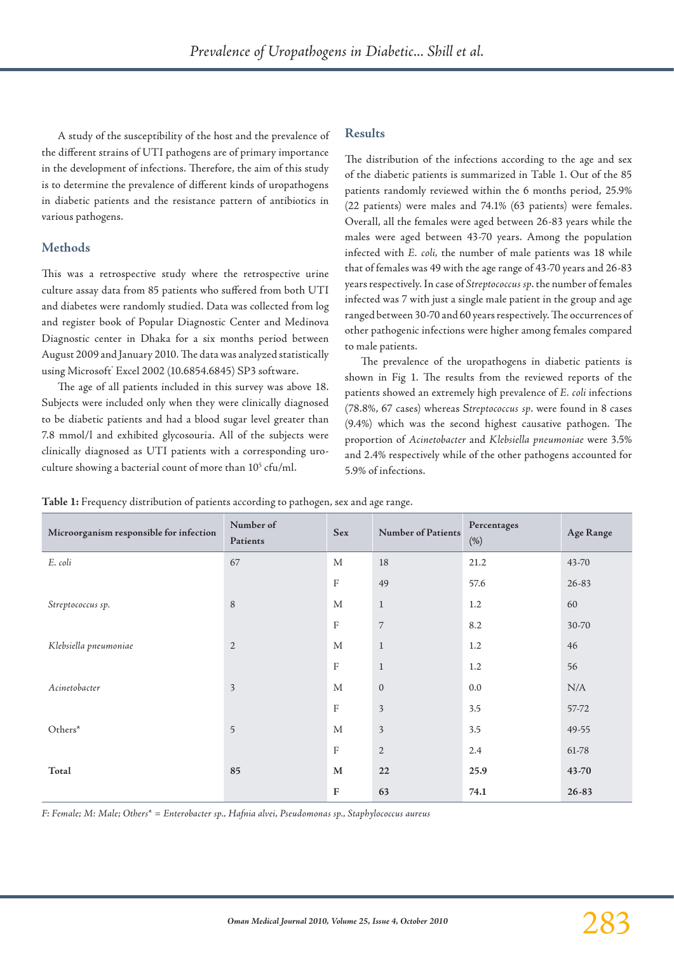A study of the susceptibility of the host and the prevalence of the different strains of UTI pathogens are of primary importance in the development of infections. Therefore, the aim of this study is to determine the prevalence of different kinds of uropathogens in diabetic patients and the resistance pattern of antibiotics in various pathogens.

# **Methods**

This was a retrospective study where the retrospective urine culture assay data from 85 patients who suffered from both UTI and diabetes were randomly studied. Data was collected from log and register book of Popular Diagnostic Center and Medinova Diagnostic center in Dhaka for a six months period between August 2009 and January 2010. The data was analyzed statistically using Microsoft Excel 2002 (10.6854.6845) SP3 software.

The age of all patients included in this survey was above 18. Subjects were included only when they were clinically diagnosed to be diabetic patients and had a blood sugar level greater than 7.8 mmol/l and exhibited glycosouria. All of the subjects were clinically diagnosed as UTI patients with a corresponding uroculture showing a bacterial count of more than  $10^5$  cfu/ml.

## **Results**

The distribution of the infections according to the age and sex of the diabetic patients is summarized in Table 1. Out of the 85 patients randomly reviewed within the 6 months period, 25.9% (22 patients) were males and 74.1% (63 patients) were females. Overall, all the females were aged between 26-83 years while the males were aged between 43-70 years. Among the population infected with *E. coli,* the number of male patients was 18 while that of females was 49 with the age range of 43-70 years and 26-83 years respectively. In case of *Streptococcus sp*. the number of females infected was 7 with just a single male patient in the group and age ranged between 30-70 and 60 years respectively. The occurrences of other pathogenic infections were higher among females compared to male patients.

The prevalence of the uropathogens in diabetic patients is shown in Fig 1. The results from the reviewed reports of the patients showed an extremely high prevalence of *E. coli* infections (78.8%, 67 cases) whereas S*treptococcus sp*. were found in 8 cases (9.4%) which was the second highest causative pathogen. The proportion of *Acinetobacter* and *Klebsiella pneumoniae* were 3.5% and 2.4% respectively while of the other pathogens accounted for 5.9% of infections.

**Table 1:** Frequency distribution of patients according to pathogen, sex and age range.

| Microorganism responsible for infection | Number of<br>Patients | <b>Sex</b>                | <b>Number of Patients</b> | Percentages<br>(% ) | Age Range |
|-----------------------------------------|-----------------------|---------------------------|---------------------------|---------------------|-----------|
| E. coli                                 | 67                    | $\mathbf{M}$              | 18                        | 21.2                | 43-70     |
|                                         |                       | $\boldsymbol{\mathrm{F}}$ | 49                        | 57.6                | $26 - 83$ |
| Streptococcus sp.                       | $\,8\,$               | M                         | $\mathbf{1}$              | 1.2                 | 60        |
|                                         |                       | $\boldsymbol{\mathrm{F}}$ | $\overline{7}$            | 8.2                 | 30-70     |
| Klebsiella pneumoniae                   | $\mathbf{2}$          | M                         | $\mathbf{1}$              | 1.2                 | 46        |
|                                         |                       | $\boldsymbol{\mathrm{F}}$ | $\mathbf{1}$              | 1.2                 | 56        |
| Acinetobacter                           | $\mathfrak{Z}$        | M                         | $\mathbf{0}$              | 0.0                 | N/A       |
|                                         |                       | $\boldsymbol{\mathrm{F}}$ | $\mathfrak{Z}$            | 3.5                 | 57-72     |
| $Others*$                               | 5                     | M                         | $\mathfrak{Z}$            | 3.5                 | 49-55     |
|                                         |                       | $\boldsymbol{\mathrm{F}}$ | $\sqrt{2}$                | 2.4                 | 61-78     |
| Total                                   | 85                    | $\mathbf{M}$              | 22                        | 25.9                | 43-70     |
|                                         |                       | ${\bf F}$                 | 63                        | 74.1                | $26 - 83$ |

*F: Female; M: Male; Others\* = Enterobacter sp., Hafnia alvei, Pseudomonas sp., Staphylococcus aureus*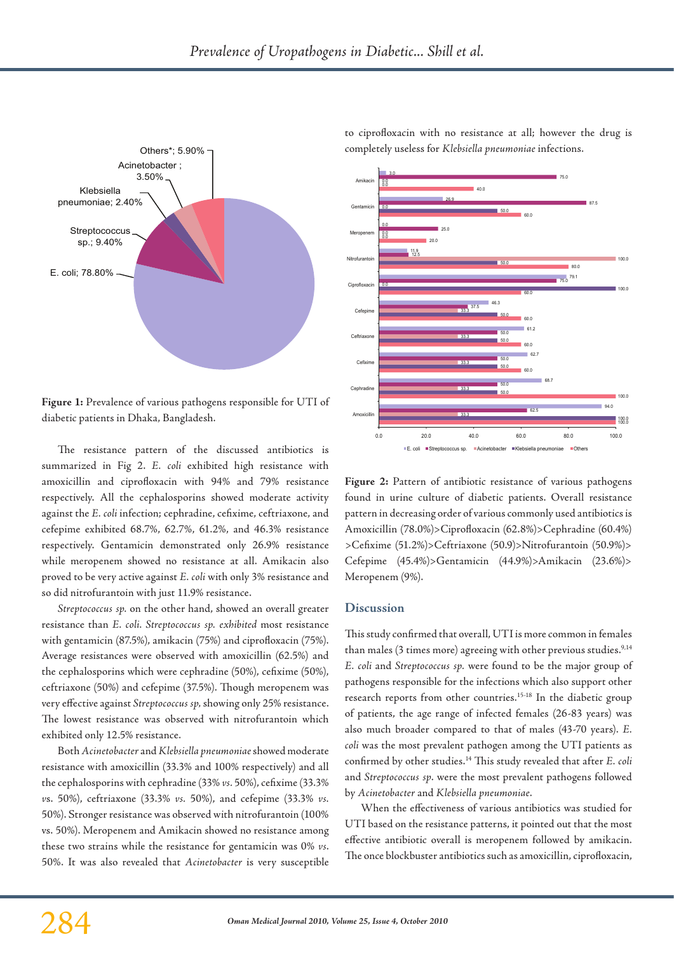

**Figure 1:** Prevalence of various pathogens responsible for UTI of diabetic patients in Dhaka, Bangladesh.

The resistance pattern of the discussed antibiotics is summarized in Fig 2. *E. coli* exhibited high resistance with amoxicillin and ciprofloxacin with 94% and 79% resistance respectively. All the cephalosporins showed moderate activity against the *E. coli* infection; cephradine, cefixime, ceftriaxone, and cefepime exhibited 68.7%, 62.7%, 61.2%, and 46.3% resistance respectively. Gentamicin demonstrated only 26.9% resistance while meropenem showed no resistance at all. Amikacin also proved to be very active against *E. coli* with only 3% resistance and so did nitrofurantoin with just 11.9% resistance.

*Streptococcus sp.* on the other hand, showed an overall greater resistance than *E. coli. Streptococcus sp. exhibited* most resistance with gentamicin (87.5%), amikacin (75%) and ciprofloxacin (75%). Average resistances were observed with amoxicillin (62.5%) and the cephalosporins which were cephradine (50%), cefixime (50%), ceftriaxone (50%) and cefepime (37.5%). Though meropenem was very effective against *Streptococcus sp,* showing only 25% resistance. The lowest resistance was observed with nitrofurantoin which exhibited only 12.5% resistance.

Both *Acinetobacter* and *Klebsiella pneumoniae* showed moderate resistance with amoxicillin (33.3% and 100% respectively) and all the cephalosporins with cephradine (33% *vs.* 50%), cefixime (33.3% *v*s. 50%), ceftriaxone (33.3% *vs.* 50%), and cefepime (33.3% *vs.* 50%). Stronger resistance was observed with nitrofurantoin (100% vs. 50%). Meropenem and Amikacin showed no resistance among these two strains while the resistance for gentamicin was 0% *vs*. 50%. It was also revealed that *Acinetobacter* is very susceptible to ciprofloxacin with no resistance at all; however the drug is completely useless for *Klebsiella pneumoniae* infections.



**Figure 2:** Pattern of antibiotic resistance of various pathogens found in urine culture of diabetic patients. Overall resistance pattern in decreasing order of various commonly used antibiotics is Amoxicillin (78.0%)>Ciprofloxacin (62.8%)>Cephradine (60.4%) >Cefixime (51.2%)>Ceftriaxone (50.9)>Nitrofurantoin (50.9%)> Cefepime (45.4%)>Gentamicin (44.9%)>Amikacin (23.6%)> Meropenem (9%).

#### **Discussion**

This study confirmed that overall, UTI is more common in females than males (3 times more) agreeing with other previous studies.<sup>9,14</sup> *E. coli* and *Streptococcus sp.* were found to be the major group of pathogens responsible for the infections which also support other research reports from other countries.15-18 In the diabetic group of patients, the age range of infected females (26-83 years) was also much broader compared to that of males (43-70 years). *E. coli* was the most prevalent pathogen among the UTI patients as confirmed by other studies.14 This study revealed that after *E. coli*  and *Streptococcus sp*. were the most prevalent pathogens followed by *Acinetobacter* and *Klebsiella pneumoniae*.

When the effectiveness of various antibiotics was studied for UTI based on the resistance patterns, it pointed out that the most effective antibiotic overall is meropenem followed by amikacin. The once blockbuster antibiotics such as amoxicillin, ciprofloxacin,